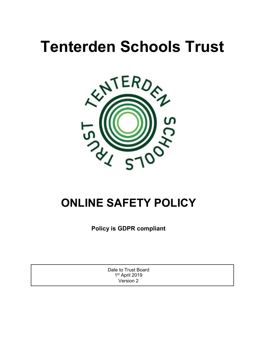# **Tenterden Schools Trust**



## **ONLINE SAFETY POLICY**

**Policy is GDPR compliant**

Date to Trust Board 1st April 2019 Version 2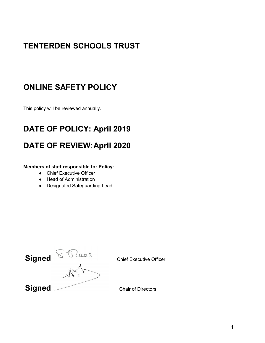## **TENTERDEN SCHOOLS TRUST**

## **ONLINE SAFETY POLICY**

This policy will be reviewed annually.

## **DATE OF POLICY: April 2019**

## **DATE OF REVIEW**:**April 2020**

#### **Members of staff responsible for Policy:**

- Chief Executive Officer
- Head of Administration
- Designated Safeguarding Lead

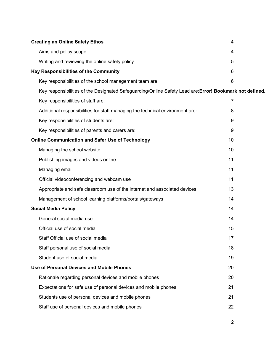| <b>Creating an Online Safety Ethos</b>                                                                   | 4              |  |
|----------------------------------------------------------------------------------------------------------|----------------|--|
| Aims and policy scope                                                                                    | 4              |  |
| Writing and reviewing the online safety policy                                                           | 5              |  |
| Key Responsibilities of the Community<br>6                                                               |                |  |
| Key responsibilities of the school management team are:                                                  | 6              |  |
| Key responsibilities of the Designated Safeguarding/Online Safety Lead are: Error! Bookmark not defined. |                |  |
| Key responsibilities of staff are:                                                                       | $\overline{7}$ |  |
| Additional responsibilities for staff managing the technical environment are:                            | 8              |  |
| Key responsibilities of students are:                                                                    | 9              |  |
| Key responsibilities of parents and carers are:                                                          | 9              |  |
| <b>Online Communication and Safer Use of Technology</b>                                                  | 10             |  |
| Managing the school website                                                                              | 10             |  |
| Publishing images and videos online                                                                      | 11             |  |
| Managing email                                                                                           | 11             |  |
| Official videoconferencing and webcam use                                                                | 11             |  |
| Appropriate and safe classroom use of the internet and associated devices                                | 13             |  |
| Management of school learning platforms/portals/gateways                                                 | 14             |  |
| 14<br><b>Social Media Policy</b>                                                                         |                |  |
| General social media use                                                                                 | 14             |  |
| Official use of social media                                                                             | 15             |  |
| Staff Official use of social media                                                                       | 17             |  |
| Staff personal use of social media                                                                       | 18             |  |
| Student use of social media                                                                              | 19             |  |
| Use of Personal Devices and Mobile Phones<br>20                                                          |                |  |
| Rationale regarding personal devices and mobile phones                                                   | 20             |  |
| Expectations for safe use of personal devices and mobile phones                                          | 21             |  |
| Students use of personal devices and mobile phones                                                       | 21             |  |
| Staff use of personal devices and mobile phones                                                          | 22             |  |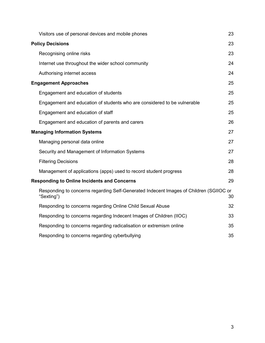|                                                          | Visitors use of personal devices and mobile phones                                                   | 23 |
|----------------------------------------------------------|------------------------------------------------------------------------------------------------------|----|
|                                                          | <b>Policy Decisions</b>                                                                              | 23 |
|                                                          | Recognising online risks                                                                             | 23 |
|                                                          | Internet use throughout the wider school community                                                   | 24 |
|                                                          | Authorising internet access                                                                          | 24 |
|                                                          | <b>Engagement Approaches</b>                                                                         | 25 |
|                                                          | Engagement and education of students                                                                 | 25 |
|                                                          | Engagement and education of students who are considered to be vulnerable                             | 25 |
|                                                          | Engagement and education of staff                                                                    | 25 |
|                                                          | Engagement and education of parents and carers                                                       | 26 |
|                                                          | <b>Managing Information Systems</b>                                                                  | 27 |
|                                                          | Managing personal data online                                                                        | 27 |
|                                                          | Security and Management of Information Systems                                                       | 27 |
|                                                          | <b>Filtering Decisions</b>                                                                           | 28 |
|                                                          | Management of applications (apps) used to record student progress                                    | 28 |
| 29<br><b>Responding to Online Incidents and Concerns</b> |                                                                                                      |    |
|                                                          | Responding to concerns regarding Self-Generated Indecent Images of Children (SGIIOC or<br>"Sexting") | 30 |
|                                                          | Responding to concerns regarding Online Child Sexual Abuse                                           | 32 |
|                                                          | Responding to concerns regarding Indecent Images of Children (IIOC)                                  | 33 |
|                                                          | Responding to concerns regarding radicalisation or extremism online                                  | 35 |
|                                                          | Responding to concerns regarding cyberbullying                                                       | 35 |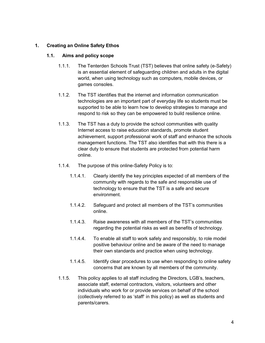#### <span id="page-4-1"></span><span id="page-4-0"></span>**1. Creating an Online Safety Ethos**

#### **1.1. Aims and policy scope**

- 1.1.1. The Tenterden Schools Trust (TST) believes that online safety (e-Safety) is an essential element of safeguarding children and adults in the digital world, when using technology such as computers, mobile devices, or games consoles.
- 1.1.2. The TST identifies that the internet and information communication technologies are an important part of everyday life so students must be supported to be able to learn how to develop strategies to manage and respond to risk so they can be empowered to build resilience online.
- 1.1.3. The TST has a duty to provide the school communities with quality Internet access to raise education standards, promote student achievement, support professional work of staff and enhance the schools management functions. The TST also identifies that with this there is a clear duty to ensure that students are protected from potential harm online.
- 1.1.4. The purpose of this online-Safety Policy is to:
	- 1.1.4.1. Clearly identify the key principles expected of all members of the community with regards to the safe and responsible use of technology to ensure that the TST is a safe and secure environment.
	- 1.1.4.2. Safeguard and protect all members of the TST's communities online.
	- 1.1.4.3. Raise awareness with all members of the TST's communities regarding the potential risks as well as benefits of technology.
	- 1.1.4.4. To enable all staff to work safely and responsibly, to role model positive behaviour online and be aware of the need to manage their own standards and practice when using technology.
	- 1.1.4.5. Identify clear procedures to use when responding to online safety concerns that are known by all members of the community.
- 1.1.5. This policy applies to all staff including the Directors, LGB's, teachers, associate staff, external contractors, visitors, volunteers and other individuals who work for or provide services on behalf of the school (collectively referred to as 'staff' in this policy) as well as students and parents/carers.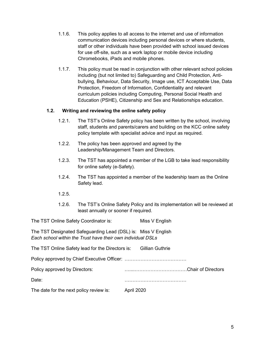- 1.1.6. This policy applies to all access to the internet and use of information communication devices including personal devices or where students, staff or other individuals have been provided with school issued devices for use off-site, such as a work laptop or mobile device including Chromebooks, iPads and mobile phones.
- 1.1.7. This policy must be read in conjunction with other relevant school policies including (but not limited to) Safeguarding and Child Protection, Antibullying, Behaviour, Data Security, Image use, ICT Acceptable Use, Data Protection, Freedom of Information, Confidentiality and relevant curriculum policies including Computing, Personal Social Health and Education (PSHE), Citizenship and Sex and Relationships education.

#### <span id="page-5-0"></span>**1.2. Writing and reviewing the online safety policy**

- 1.2.1. The TST's Online Safety policy has been written by the school, involving staff, students and parents/carers and building on the KCC online safety policy template with specialist advice and input as required.
- 1.2.2. The policy has been approved and agreed by the Leadership/Management Team and Directors.
- 1.2.3. The TST has appointed a member of the LGB to take lead responsibility for online safety (e-Safety).
- 1.2.4. The TST has appointed a member of the leadership team as the Online Safety lead.
- 1.2.5.
- 1.2.6. The TST's Online Safety Policy and its implementation will be reviewed at least annually or sooner if required.

| The TST Online Safety Coordinator is:                                                                                        | Miss V English         |
|------------------------------------------------------------------------------------------------------------------------------|------------------------|
| The TST Designated Safeguarding Lead (DSL) is: Miss V English<br>Each school within the Trust have their own individual DSLs |                        |
| The TST Online Safety lead for the Directors is:                                                                             | <b>Gillian Guthrie</b> |
|                                                                                                                              |                        |
| Policy approved by Directors:                                                                                                |                        |
| Date:                                                                                                                        |                        |
| The date for the next policy review is:                                                                                      | <b>April 2020</b>      |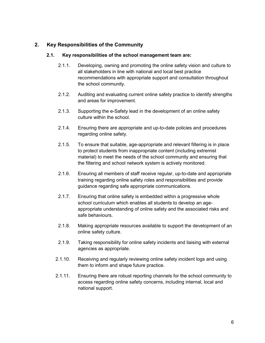#### <span id="page-6-1"></span><span id="page-6-0"></span>**2. Key Responsibilities of the Community**

#### **2.1. Key responsibilities of the school management team are:**

- 2.1.1. Developing, owning and promoting the online safety vision and culture to all stakeholders in line with national and local best practice recommendations with appropriate support and consultation throughout the school community.
- 2.1.2. Auditing and evaluating current online safety practice to identify strengths and areas for improvement.
- 2.1.3. Supporting the e-Safety lead in the development of an online safety culture within the school.
- 2.1.4. Ensuring there are appropriate and up-to-date policies and procedures regarding online safety.
- 2.1.5. To ensure that suitable, age-appropriate and relevant filtering is in place to protect students from inappropriate content (including extremist material) to meet the needs of the school community and ensuring that the filtering and school network system is actively monitored.
- 2.1.6. Ensuring all members of staff receive regular, up-to-date and appropriate training regarding online safety roles and responsibilities and provide guidance regarding safe appropriate communications.
- 2.1.7. Ensuring that online safety is embedded within a progressive whole school curriculum which enables all students to develop an ageappropriate understanding of online safety and the associated risks and safe behaviours.
- 2.1.8. Making appropriate resources available to support the development of an online safety culture.
- 2.1.9. Taking responsibility for online safety incidents and liaising with external agencies as appropriate.
- 2.1.10. Receiving and regularly reviewing online safety incident logs and using them to inform and shape future practice.
- 2.1.11. Ensuring there are robust reporting channels for the school community to access regarding online safety concerns, including internal, local and national support.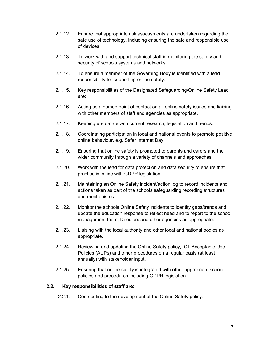- 2.1.12. Ensure that appropriate risk assessments are undertaken regarding the safe use of technology, including ensuring the safe and responsible use of devices.
- 2.1.13. To work with and support technical staff in monitoring the safety and security of schools systems and networks.
- 2.1.14. To ensure a member of the Governing Body is identified with a lead responsibility for supporting online safety.
- 2.1.15. Key responsibilities of the Designated Safeguarding/Online Safety Lead are:
- 2.1.16. Acting as a named point of contact on all online safety issues and liaising with other members of staff and agencies as appropriate.
- 2.1.17. Keeping up-to-date with current research, legislation and trends.
- 2.1.18. Coordinating participation in local and national events to promote positive online behaviour, e.g. Safer Internet Day.
- 2.1.19. Ensuring that online safety is promoted to parents and carers and the wider community through a variety of channels and approaches.
- 2.1.20. Work with the lead for data protection and data security to ensure that practice is in line with GDPR legislation.
- 2.1.21. Maintaining an Online Safety incident/action log to record incidents and actions taken as part of the schools safeguarding recording structures and mechanisms.
- 2.1.22. Monitor the schools Online Safety incidents to identify gaps/trends and update the education response to reflect need and to report to the school management team, Directors and other agencies as appropriate.
- 2.1.23. Liaising with the local authority and other local and national bodies as appropriate.
- 2.1.24. Reviewing and updating the Online Safety policy, ICT Acceptable Use Policies (AUPs) and other procedures on a regular basis (at least annually) with stakeholder input.
- 2.1.25. Ensuring that online safety is integrated with other appropriate school policies and procedures including GDPR legislation.

#### <span id="page-7-0"></span>**2.2. Key responsibilities of staff are:**

2.2.1. Contributing to the development of the Online Safety policy.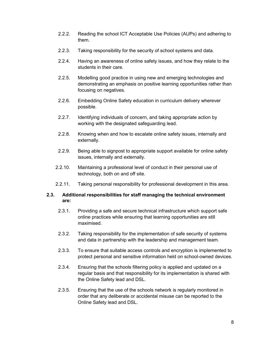- 2.2.2. Reading the school ICT Acceptable Use Policies (AUPs) and adhering to them.
- 2.2.3. Taking responsibility for the security of school systems and data.
- 2.2.4. Having an awareness of online safety issues, and how they relate to the students in their care.
- 2.2.5. Modelling good practice in using new and emerging technologies and demonstrating an emphasis on positive learning opportunities rather than focusing on negatives.
- 2.2.6. Embedding Online Safety education in curriculum delivery wherever possible.
- 2.2.7. Identifying individuals of concern, and taking appropriate action by working with the designated safeguarding lead.
- 2.2.8. Knowing when and how to escalate online safety issues, internally and externally.
- 2.2.9. Being able to signpost to appropriate support available for online safety issues, internally and externally.
- 2.2.10. Maintaining a professional level of conduct in their personal use of technology, both on and off site.
- 2.2.11. Taking personal responsibility for professional development in this area.

#### <span id="page-8-0"></span>**2.3. Additional responsibilities for staff managing the technical environment are:**

- 2.3.1. Providing a safe and secure technical infrastructure which support safe online practices while ensuring that learning opportunities are still maximised.
- 2.3.2. Taking responsibility for the implementation of safe security of systems and data in partnership with the leadership and management team.
- 2.3.3. To ensure that suitable access controls and encryption is implemented to protect personal and sensitive information held on school-owned devices.
- 2.3.4. Ensuring that the schools filtering policy is applied and updated on a regular basis and that responsibility for its implementation is shared with the Online Safety lead and DSL.
- 2.3.5. Ensuring that the use of the schools network is regularly monitored in order that any deliberate or accidental misuse can be reported to the Online Safety lead and DSL.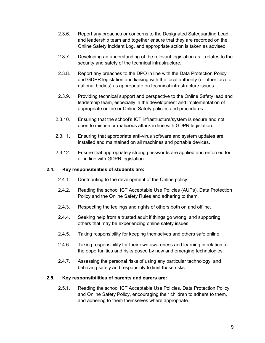- 2.3.6. Report any breaches or concerns to the Designated Safeguarding Lead and leadership team and together ensure that they are recorded on the Online Safety Incident Log, and appropriate action is taken as advised.
- 2.3.7. Developing an understanding of the relevant legislation as it relates to the security and safety of the technical infrastructure.
- 2.3.8. Report any breaches to the DPO in line with the Data Protection Policy and GDPR legislation and liaising with the local authority (or other local or national bodies) as appropriate on technical infrastructure issues.
- 2.3.9. Providing technical support and perspective to the Online Safety lead and leadership team, especially in the development and implementation of appropriate online or Online Safety policies and procedures.
- 2.3.10. Ensuring that the school's ICT infrastructure/system is secure and not open to misuse or malicious attack in line with GDPR legislation.
- 2.3.11. Ensuring that appropriate anti-virus software and system updates are installed and maintained on all machines and portable devices.
- 2.3.12. Ensure that appropriately strong passwords are applied and enforced for all in line with GDPR legislation.

#### <span id="page-9-0"></span>**2.4. Key responsibilities of students are:**

- 2.4.1. Contributing to the development of the Online policy.
- 2.4.2. Reading the school ICT Acceptable Use Policies (AUPs), Data Protection Policy and the Online Safety Rules and adhering to them.
- 2.4.3. Respecting the feelings and rights of others both on and offline.
- 2.4.4. Seeking help from a trusted adult if things go wrong, and supporting others that may be experiencing online safety issues.
- 2.4.5. Taking responsibility for keeping themselves and others safe online.
- 2.4.6. Taking responsibility for their own awareness and learning in relation to the opportunities and risks posed by new and emerging technologies.
- 2.4.7. Assessing the personal risks of using any particular technology, and behaving safely and responsibly to limit those risks.

#### <span id="page-9-1"></span>**2.5. Key responsibilities of parents and carers are:**

2.5.1. Reading the school ICT Acceptable Use Policies, Data Protection Policy and Online Safety Policy, encouraging their children to adhere to them, and adhering to them themselves where appropriate.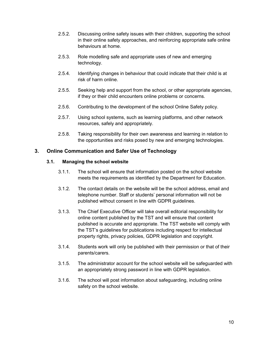- 2.5.2. Discussing online safety issues with their children, supporting the school in their online safety approaches, and reinforcing appropriate safe online behaviours at home.
- 2.5.3. Role modelling safe and appropriate uses of new and emerging technology.
- 2.5.4. Identifying changes in behaviour that could indicate that their child is at risk of harm online.
- 2.5.5. Seeking help and support from the school, or other appropriate agencies, if they or their child encounters online problems or concerns.
- 2.5.6. Contributing to the development of the school Online Safety policy.
- 2.5.7. Using school systems, such as learning platforms, and other network resources, safely and appropriately.
- 2.5.8. Taking responsibility for their own awareness and learning in relation to the opportunities and risks posed by new and emerging technologies.

#### <span id="page-10-1"></span><span id="page-10-0"></span>**3. Online Communication and Safer Use of Technology**

#### **3.1. Managing the school website**

- 3.1.1. The school will ensure that information posted on the school website meets the requirements as identified by the Department for Education.
- 3.1.2. The contact details on the website will be the school address, email and telephone number. Staff or students' personal information will not be published without consent in line with GDPR guidelines.
- 3.1.3. The Chief Executive Officer will take overall editorial responsibility for online content published by the TST and will ensure that content published is accurate and appropriate. The TST website will comply with the TST's guidelines for publications including respect for intellectual property rights, privacy policies, GDPR legislation and copyright.
- 3.1.4. Students work will only be published with their permission or that of their parents/carers.
- 3.1.5. The administrator account for the school website will be safeguarded with an appropriately strong password in line with GDPR legislation.
- 3.1.6. The school will post information about safeguarding, including online safety on the school website.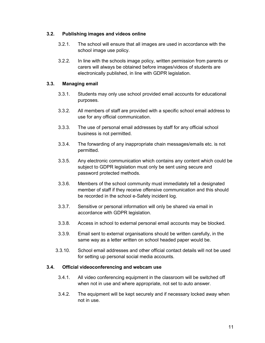#### <span id="page-11-0"></span>**3.2. Publishing images and videos online**

- 3.2.1. The school will ensure that all images are used in accordance with the school image use policy.
- 3.2.2. In line with the schools image policy, written permission from parents or carers will always be obtained before images/videos of students are electronically published, in line with GDPR legislation.

#### <span id="page-11-1"></span>**3.3. Managing email**

- 3.3.1. Students may only use school provided email accounts for educational purposes.
- 3.3.2. All members of staff are provided with a specific school email address to use for any official communication.
- 3.3.3. The use of personal email addresses by staff for any official school business is not permitted.
- 3.3.4. The forwarding of any inappropriate chain messages/emails etc. is not permitted.
- 3.3.5. Any electronic communication which contains any content which could be subject to GDPR legislation must only be sent using secure and password protected methods.
- 3.3.6. Members of the school community must immediately tell a designated member of staff if they receive offensive communication and this should be recorded in the school e-Safety incident log.
- 3.3.7. Sensitive or personal information will only be shared via email in accordance with GDPR legislation.
- 3.3.8. Access in school to external personal email accounts may be blocked.
- 3.3.9. Email sent to external organisations should be written carefully, in the same way as a letter written on school headed paper would be.
- 3.3.10. School email addresses and other official contact details will not be used for setting up personal social media accounts.

#### <span id="page-11-2"></span>**3.4. Official videoconferencing and webcam use**

- 3.4.1. All video conferencing equipment in the classroom will be switched off when not in use and where appropriate, not set to auto answer.
- 3.4.2. The equipment will be kept securely and if necessary locked away when not in use.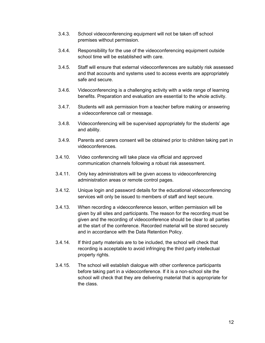- 3.4.3. School videoconferencing equipment will not be taken off school premises without permission.
- 3.4.4. Responsibility for the use of the videoconferencing equipment outside school time will be established with care.
- 3.4.5. Staff will ensure that external videoconferences are suitably risk assessed and that accounts and systems used to access events are appropriately safe and secure.
- 3.4.6. Videoconferencing is a challenging activity with a wide range of learning benefits. Preparation and evaluation are essential to the whole activity.
- 3.4.7. Students will ask permission from a teacher before making or answering a videoconference call or message.
- 3.4.8. Videoconferencing will be supervised appropriately for the students' age and ability.
- 3.4.9. Parents and carers consent will be obtained prior to children taking part in videoconferences.
- 3.4.10. Video conferencing will take place via official and approved communication channels following a robust risk assessment.
- 3.4.11. Only key administrators will be given access to videoconferencing administration areas or remote control pages.
- 3.4.12. Unique login and password details for the educational videoconferencing services will only be issued to members of staff and kept secure.
- 3.4.13. When recording a videoconference lesson, written permission will be given by all sites and participants. The reason for the recording must be given and the recording of videoconference should be clear to all parties at the start of the conference. Recorded material will be stored securely and in accordance with the Data Retention Policy.
- 3.4.14. If third party materials are to be included, the school will check that recording is acceptable to avoid infringing the third party intellectual property rights.
- 3.4.15. The school will establish dialogue with other conference participants before taking part in a videoconference. If it is a non-school site the school will check that they are delivering material that is appropriate for the class.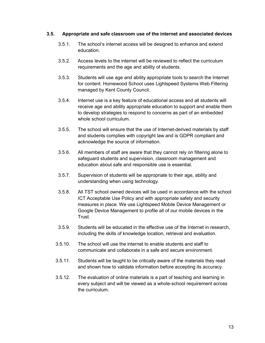#### <span id="page-13-0"></span>**3.5. Appropriate and safe classroom use of the internet and associated devices**

- 3.5.1. The school's internet access will be designed to enhance and extend education.
- 3.5.2. Access levels to the internet will be reviewed to reflect the curriculum requirements and the age and ability of students.
- 3.5.3. Students will use age and ability appropriate tools to search the Internet for content. Homewood School uses Lightspeed Systems Web Filtering managed by Kent County Council.
- 3.5.4. Internet use is a key feature of educational access and all students will receive age and ability appropriate education to support and enable them to develop strategies to respond to concerns as part of an embedded whole school curriculum.
- 3.5.5. The school will ensure that the use of Internet-derived materials by staff and students complies with copyright law and is GDPR compliant and acknowledge the source of information.
- 3.5.6. All members of staff are aware that they cannot rely on filtering alone to safeguard students and supervision, classroom management and education about safe and responsible use is essential.
- 3.5.7. Supervision of students will be appropriate to their age, ability and understanding when using technology.
- 3.5.8. All TST school owned devices will be used in accordance with the school ICT Acceptable Use Policy and with appropriate safety and security measures in place. We use Lightspeed Mobile Device Management or Google Device Management to profile all of our mobile devices in the **Trust**
- 3.5.9. Students will be educated in the effective use of the Internet in research, including the skills of knowledge location, retrieval and evaluation.
- 3.5.10. The school will use the internet to enable students and staff to communicate and collaborate in a safe and secure environment.
- 3.5.11. Students will be taught to be critically aware of the materials they read and shown how to validate information before accepting its accuracy.
- 3.5.12. The evaluation of online materials is a part of teaching and learning in every subject and will be viewed as a whole-school requirement across the curriculum.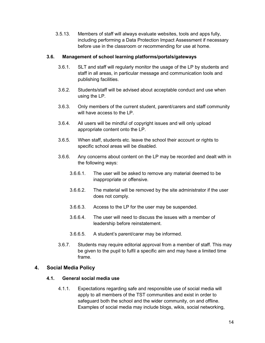3.5.13. Members of staff will always evaluate websites, tools and apps fully, including performing a Data Protection Impact Assessment if necessary before use in the classroom or recommending for use at home.

#### <span id="page-14-0"></span>**3.6. Management of school learning platforms/portals/gateways**

- 3.6.1. SLT and staff will regularly monitor the usage of the LP by students and staff in all areas, in particular message and communication tools and publishing facilities.
- 3.6.2. Students/staff will be advised about acceptable conduct and use when using the LP.
- 3.6.3. Only members of the current student, parent/carers and staff community will have access to the LP.
- 3.6.4. All users will be mindful of copyright issues and will only upload appropriate content onto the LP.
- 3.6.5. When staff, students etc. leave the school their account or rights to specific school areas will be disabled.
- 3.6.6. Any concerns about content on the LP may be recorded and dealt with in the following ways:
	- 3.6.6.1. The user will be asked to remove any material deemed to be inappropriate or offensive.
	- 3.6.6.2. The material will be removed by the site administrator if the user does not comply.
	- 3.6.6.3. Access to the LP for the user may be suspended.
	- 3.6.6.4. The user will need to discuss the issues with a member of leadership before reinstatement.
	- 3.6.6.5. A student's parent/carer may be informed.
- 3.6.7. Students may require editorial approval from a member of staff. This may be given to the pupil to fulfil a specific aim and may have a limited time frame.

#### <span id="page-14-2"></span><span id="page-14-1"></span>**4. Social Media Policy**

#### **4.1. General social media use**

4.1.1. Expectations regarding safe and responsible use of social media will apply to all members of the TST communities and exist in order to safeguard both the school and the wider community, on and offline. Examples of social media may include blogs, wikis, social networking,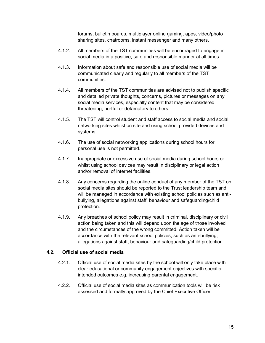forums, bulletin boards, multiplayer online gaming, apps, video/photo sharing sites, chatrooms, instant messenger and many others.

- 4.1.2. All members of the TST communities will be encouraged to engage in social media in a positive, safe and responsible manner at all times.
- 4.1.3. Information about safe and responsible use of social media will be communicated clearly and regularly to all members of the TST communities.
- 4.1.4. All members of the TST communities are advised not to publish specific and detailed private thoughts, concerns, pictures or messages on any social media services, especially content that may be considered threatening, hurtful or defamatory to others.
- 4.1.5. The TST will control student and staff access to social media and social networking sites whilst on site and using school provided devices and systems.
- 4.1.6. The use of social networking applications during school hours for personal use is not permitted.
- 4.1.7. Inappropriate or excessive use of social media during school hours or whilst using school devices may result in disciplinary or legal action and/or removal of internet facilities.
- 4.1.8. Any concerns regarding the online conduct of any member of the TST on social media sites should be reported to the Trust leadership team and will be managed in accordance with existing school policies such as antibullying, allegations against staff, behaviour and safeguarding/child protection.
- 4.1.9. Any breaches of school policy may result in criminal, disciplinary or civil action being taken and this will depend upon the age of those involved and the circumstances of the wrong committed. Action taken will be accordance with the relevant school policies, such as anti-bullying, allegations against staff, behaviour and safeguarding/child protection.

#### <span id="page-15-0"></span>**4.2. Official use of social media**

- 4.2.1. Official use of social media sites by the school will only take place with clear educational or community engagement objectives with specific intended outcomes e.g. increasing parental engagement.
- 4.2.2. Official use of social media sites as communication tools will be risk assessed and formally approved by the Chief Executive Officer.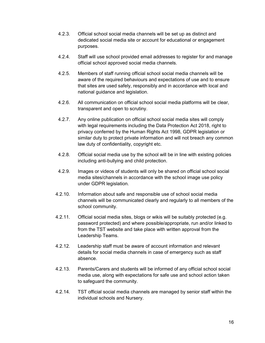- 4.2.3. Official school social media channels will be set up as distinct and dedicated social media site or account for educational or engagement purposes.
- 4.2.4. Staff will use school provided email addresses to register for and manage official school approved social media channels.
- 4.2.5. Members of staff running official school social media channels will be aware of the required behaviours and expectations of use and to ensure that sites are used safely, responsibly and in accordance with local and national guidance and legislation.
- 4.2.6. All communication on official school social media platforms will be clear, transparent and open to scrutiny.
- 4.2.7. Any online publication on official school social media sites will comply with legal requirements including the Data Protection Act 2018, right to privacy conferred by the Human Rights Act 1998, GDPR legislation or similar duty to protect private information and will not breach any common law duty of confidentiality, copyright etc.
- 4.2.8. Official social media use by the school will be in line with existing policies including anti-bullying and child protection.
- 4.2.9. Images or videos of students will only be shared on official school social media sites/channels in accordance with the school image use policy under GDPR legislation.
- 4.2.10. Information about safe and responsible use of school social media channels will be communicated clearly and regularly to all members of the school community.
- 4.2.11. Official social media sites, blogs or wikis will be suitably protected (e.g. password protected) and where possible/appropriate, run and/or linked to from the TST website and take place with written approval from the Leadership Teams.
- 4.2.12. Leadership staff must be aware of account information and relevant details for social media channels in case of emergency such as staff absence.
- 4.2.13. Parents/Carers and students will be informed of any official school social media use, along with expectations for safe use and school action taken to safeguard the community.
- 4.2.14. TST official social media channels are managed by senior staff within the individual schools and Nursery.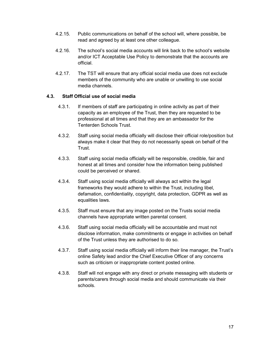- 4.2.15. Public communications on behalf of the school will, where possible, be read and agreed by at least one other colleague.
- 4.2.16. The school's social media accounts will link back to the school's website and/or ICT Acceptable Use Policy to demonstrate that the accounts are official.
- 4.2.17. The TST will ensure that any official social media use does not exclude members of the community who are unable or unwilling to use social media channels.

#### <span id="page-17-0"></span>**4.3. Staff Official use of social media**

- 4.3.1. If members of staff are participating in online activity as part of their capacity as an employee of the Trust, then they are requested to be professional at all times and that they are an ambassador for the Tenterden Schools Trust.
- 4.3.2. Staff using social media officially will disclose their official role/position but always make it clear that they do not necessarily speak on behalf of the Trust.
- 4.3.3. Staff using social media officially will be responsible, credible, fair and honest at all times and consider how the information being published could be perceived or shared.
- 4.3.4. Staff using social media officially will always act within the legal frameworks they would adhere to within the Trust, including libel, defamation, confidentiality, copyright, data protection, GDPR as well as equalities laws.
- 4.3.5. Staff must ensure that any image posted on the Trusts social media channels have appropriate written parental consent.
- 4.3.6. Staff using social media officially will be accountable and must not disclose information, make commitments or engage in activities on behalf of the Trust unless they are authorised to do so.
- 4.3.7. Staff using social media officially will inform their line manager, the Trust's online Safety lead and/or the Chief Executive Officer of any concerns such as criticism or inappropriate content posted online.
- 4.3.8. Staff will not engage with any direct or private messaging with students or parents/carers through social media and should communicate via their schools.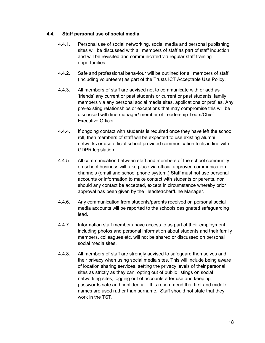#### <span id="page-18-0"></span>**4.4. Staff personal use of social media**

- 4.4.1. Personal use of social networking, social media and personal publishing sites will be discussed with all members of staff as part of staff induction and will be revisited and communicated via regular staff training opportunities.
- 4.4.2. Safe and professional behaviour will be outlined for all members of staff (including volunteers) as part of the Trusts ICT Acceptable Use Policy.
- 4.4.3. All members of staff are advised not to communicate with or add as 'friends' any current or past students or current or past students' family members via any personal social media sites, applications or profiles. Any pre-existing relationships or exceptions that may compromise this will be discussed with line manager/ member of Leadership Team/Chief Executive Officer.
- 4.4.4. If ongoing contact with students is required once they have left the school roll, then members of staff will be expected to use existing alumni networks or use official school provided communication tools in line with GDPR legislation.
- 4.4.5. All communication between staff and members of the school community on school business will take place via official approved communication channels (email and school phone system.) Staff must not use personal accounts or information to make contact with students or parents, nor should any contact be accepted, except in circumstance whereby prior approval has been given by the Headteacher/Line Manager.
- 4.4.6. Any communication from students/parents received on personal social media accounts will be reported to the schools designated safeguarding lead.
- 4.4.7. Information staff members have access to as part of their employment, including photos and personal information about students and their family members, colleagues etc. will not be shared or discussed on personal social media sites.
- 4.4.8. All members of staff are strongly advised to safeguard themselves and their privacy when using social media sites. This will include being aware of location sharing services, setting the privacy levels of their personal sites as strictly as they can, opting out of public listings on social networking sites, logging out of accounts after use and keeping passwords safe and confidential. It is recommend that first and middle names are used rather than surname. Staff should not state that they work in the TST.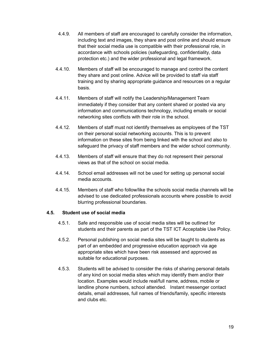- 4.4.9. All members of staff are encouraged to carefully consider the information, including text and images, they share and post online and should ensure that their social media use is compatible with their professional role, in accordance with schools policies (safeguarding, confidentiality, data protection etc.) and the wider professional and legal framework.
- 4.4.10. Members of staff will be encouraged to manage and control the content they share and post online. Advice will be provided to staff via staff training and by sharing appropriate guidance and resources on a regular basis.
- 4.4.11. Members of staff will notify the Leadership/Management Team immediately if they consider that any content shared or posted via any information and communications technology, including emails or social networking sites conflicts with their role in the school.
- 4.4.12. Members of staff must not identify themselves as employees of the TST on their personal social networking accounts. This is to prevent information on these sites from being linked with the school and also to safeguard the privacy of staff members and the wider school community.
- 4.4.13. Members of staff will ensure that they do not represent their personal views as that of the school on social media.
- 4.4.14. School email addresses will not be used for setting up personal social media accounts.
- 4.4.15. Members of staff who follow/like the schools social media channels will be advised to use dedicated professionals accounts where possible to avoid blurring professional boundaries.

#### <span id="page-19-0"></span>**4.5. Student use of social media**

- 4.5.1. Safe and responsible use of social media sites will be outlined for students and their parents as part of the TST ICT Acceptable Use Policy.
- 4.5.2. Personal publishing on social media sites will be taught to students as part of an embedded and progressive education approach via age appropriate sites which have been risk assessed and approved as suitable for educational purposes.
- 4.5.3. Students will be advised to consider the risks of sharing personal details of any kind on social media sites which may identify them and/or their location. Examples would include real/full name, address, mobile or landline phone numbers, school attended. Instant messenger contact details, email addresses, full names of friends/family, specific interests and clubs etc.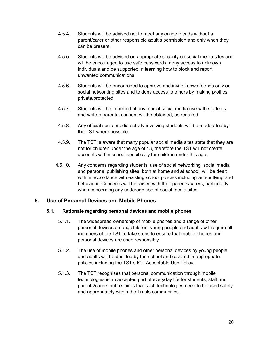- 4.5.4. Students will be advised not to meet any online friends without a parent/carer or other responsible adult's permission and only when they can be present.
- 4.5.5. Students will be advised on appropriate security on social media sites and will be encouraged to use safe passwords, deny access to unknown individuals and be supported in learning how to block and report unwanted communications.
- 4.5.6. Students will be encouraged to approve and invite known friends only on social networking sites and to deny access to others by making profiles private/protected.
- 4.5.7. Students will be informed of any official social media use with students and written parental consent will be obtained, as required.
- 4.5.8. Any official social media activity involving students will be moderated by the TST where possible.
- 4.5.9. The TST is aware that many popular social media sites state that they are not for children under the age of 13, therefore the TST will not create accounts within school specifically for children under this age.
- 4.5.10. Any concerns regarding students' use of social networking, social media and personal publishing sites, both at home and at school, will be dealt with in accordance with existing school policies including anti-bullying and behaviour. Concerns will be raised with their parents/carers, particularly when concerning any underage use of social media sites.

#### <span id="page-20-1"></span><span id="page-20-0"></span>**5. Use of Personal Devices and Mobile Phones**

#### **5.1. Rationale regarding personal devices and mobile phones**

- 5.1.1. The widespread ownership of mobile phones and a range of other personal devices among children, young people and adults will require all members of the TST to take steps to ensure that mobile phones and personal devices are used responsibly.
- 5.1.2. The use of mobile phones and other personal devices by young people and adults will be decided by the school and covered in appropriate policies including the TST's ICT Acceptable Use Policy.
- 5.1.3. The TST recognises that personal communication through mobile technologies is an accepted part of everyday life for students, staff and parents/carers but requires that such technologies need to be used safely and appropriately within the Trusts communities.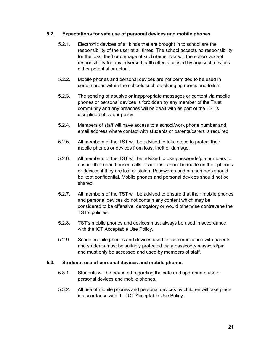#### <span id="page-21-0"></span>**5.2. Expectations for safe use of personal devices and mobile phones**

- 5.2.1. Electronic devices of all kinds that are brought in to school are the responsibility of the user at all times. The school accepts no responsibility for the loss, theft or damage of such items. Nor will the school accept responsibility for any adverse health effects caused by any such devices either potential or actual.
- 5.2.2. Mobile phones and personal devices are not permitted to be used in certain areas within the schools such as changing rooms and toilets.
- 5.2.3. The sending of abusive or inappropriate messages or content via mobile phones or personal devices is forbidden by any member of the Trust community and any breaches will be dealt with as part of the TST's discipline/behaviour policy.
- 5.2.4. Members of staff will have access to a school/work phone number and email address where contact with students or parents/carers is required.
- 5.2.5. All members of the TST will be advised to take steps to protect their mobile phones or devices from loss, theft or damage.
- 5.2.6. All members of the TST will be advised to use passwords/pin numbers to ensure that unauthorised calls or actions cannot be made on their phones or devices if they are lost or stolen. Passwords and pin numbers should be kept confidential. Mobile phones and personal devices should not be shared.
- 5.2.7. All members of the TST will be advised to ensure that their mobile phones and personal devices do not contain any content which may be considered to be offensive, derogatory or would otherwise contravene the TST's policies.
- 5.2.8. TST's mobile phones and devices must always be used in accordance with the ICT Acceptable Use Policy.
- 5.2.9. School mobile phones and devices used for communication with parents and students must be suitably protected via a passcode/password/pin and must only be accessed and used by members of staff.

#### <span id="page-21-1"></span>**5.3. Students use of personal devices and mobile phones**

- 5.3.1. Students will be educated regarding the safe and appropriate use of personal devices and mobile phones.
- 5.3.2. All use of mobile phones and personal devices by children will take place in accordance with the ICT Acceptable Use Policy.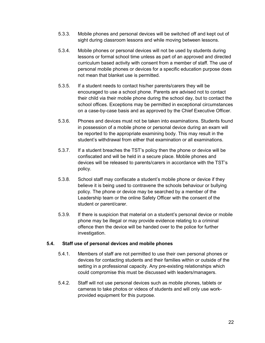- 5.3.3. Mobile phones and personal devices will be switched off and kept out of sight during classroom lessons and while moving between lessons.
- 5.3.4. Mobile phones or personal devices will not be used by students during lessons or formal school time unless as part of an approved and directed curriculum based activity with consent from a member of staff. The use of personal mobile phones or devices for a specific education purpose does not mean that blanket use is permitted.
- 5.3.5. If a student needs to contact his/her parents/carers they will be encouraged to use a school phone. Parents are advised not to contact their child via their mobile phone during the school day, but to contact the school offices. Exceptions may be permitted in exceptional circumstances on a case-by-case basis and as approved by the Chief Executive Officer.
- 5.3.6. Phones and devices must not be taken into examinations. Students found in possession of a mobile phone or personal device during an exam will be reported to the appropriate examining body. This may result in the student's withdrawal from either that examination or all examinations.
- 5.3.7. If a student breaches the TST's policy then the phone or device will be confiscated and will be held in a secure place. Mobile phones and devices will be released to parents/carers in accordance with the TST's policy.
- 5.3.8. School staff may confiscate a student's mobile phone or device if they believe it is being used to contravene the schools behaviour or bullying policy. The phone or device may be searched by a member of the Leadership team or the online Safety Officer with the consent of the student or parent/carer.
- 5.3.9. If there is suspicion that material on a student's personal device or mobile phone may be illegal or may provide evidence relating to a criminal offence then the device will be handed over to the police for further investigation.

#### <span id="page-22-0"></span>**5.4. Staff use of personal devices and mobile phones**

- 5.4.1. Members of staff are not permitted to use their own personal phones or devices for contacting students and their families within or outside of the setting in a professional capacity. Any pre-existing relationships which could compromise this must be discussed with leaders/managers.
- 5.4.2. Staff will not use personal devices such as mobile phones, tablets or cameras to take photos or videos of students and will only use workprovided equipment for this purpose.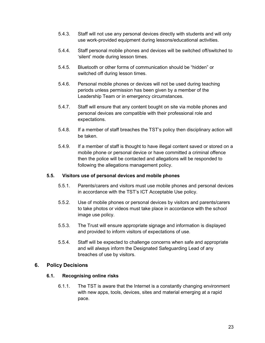- 5.4.3. Staff will not use any personal devices directly with students and will only use work-provided equipment during lessons/educational activities.
- 5.4.4. Staff personal mobile phones and devices will be switched off/switched to 'silent' mode during lesson times.
- 5.4.5. Bluetooth or other forms of communication should be "hidden" or switched off during lesson times.
- 5.4.6. Personal mobile phones or devices will not be used during teaching periods unless permission has been given by a member of the Leadership Team or in emergency circumstances.
- 5.4.7. Staff will ensure that any content bought on site via mobile phones and personal devices are compatible with their professional role and expectations.
- 5.4.8. If a member of staff breaches the TST's policy then disciplinary action will be taken.
- 5.4.9. If a member of staff is thought to have illegal content saved or stored on a mobile phone or personal device or have committed a criminal offence then the police will be contacted and allegations will be responded to following the allegations management policy.

#### <span id="page-23-0"></span>**5.5. Visitors use of personal devices and mobile phones**

- 5.5.1. Parents/carers and visitors must use mobile phones and personal devices in accordance with the TST's ICT Acceptable Use policy.
- 5.5.2. Use of mobile phones or personal devices by visitors and parents/carers to take photos or videos must take place in accordance with the school image use policy.
- 5.5.3. The Trust will ensure appropriate signage and information is displayed and provided to inform visitors of expectations of use.
- 5.5.4. Staff will be expected to challenge concerns when safe and appropriate and will always inform the Designated Safeguarding Lead of any breaches of use by visitors.

#### <span id="page-23-2"></span><span id="page-23-1"></span>**6. Policy Decisions**

#### **6.1. Recognising online risks**

6.1.1. The TST is aware that the Internet is a constantly changing environment with new apps, tools, devices, sites and material emerging at a rapid pace.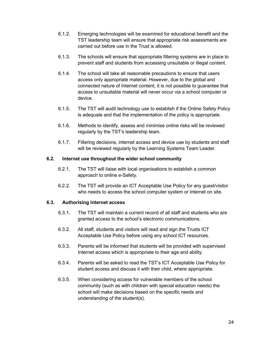- 6.1.2. Emerging technologies will be examined for educational benefit and the TST leadership team will ensure that appropriate risk assessments are carried out before use in the Trust is allowed.
- 6.1.3. The schools will ensure that appropriate filtering systems are in place to prevent staff and students from accessing unsuitable or illegal content.
- 6.1.4. The school will take all reasonable precautions to ensure that users access only appropriate material. However, due to the global and connected nature of Internet content, it is not possible to guarantee that access to unsuitable material will never occur via a school computer or device.
- 6.1.5. The TST will audit technology use to establish if the Online Safety Policy is adequate and that the implementation of the policy is appropriate.
- 6.1.6. Methods to identify, assess and minimise online risks will be reviewed regularly by the TST's leadership team.
- 6.1.7. Filtering decisions, internet access and device use by students and staff will be reviewed regularly by the Learning Systems Team Leader.

#### <span id="page-24-0"></span>**6.2. Internet use throughout the wider school community**

- 6.2.1. The TST will liaise with local organisations to establish a common approach to online e-Safety.
- 6.2.2. The TST will provide an ICT Acceptable Use Policy for any guest/visitor who needs to access the school computer system or internet on site.

#### <span id="page-24-1"></span>**6.3. Authorising internet access**

- 6.3.1. The TST will maintain a current record of all staff and students who are granted access to the school's electronic communications.
- 6.3.2. All staff, students and visitors will read and sign the Trusts ICT Acceptable Use Policy before using any school ICT resources.
- 6.3.3. Parents will be informed that students will be provided with supervised Internet access which is appropriate to their age and ability.
- 6.3.4. Parents will be asked to read the TST's ICT Acceptable Use Policy for student access and discuss it with their child, where appropriate.
- 6.3.5. When considering access for vulnerable members of the school community (such as with children with special education needs) the school will make decisions based on the specific needs and understanding of the student(s).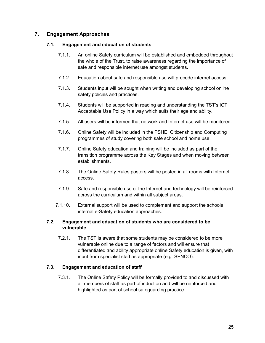#### <span id="page-25-1"></span><span id="page-25-0"></span>**7. Engagement Approaches**

#### **7.1. Engagement and education of students**

- 7.1.1. An online Safety curriculum will be established and embedded throughout the whole of the Trust, to raise awareness regarding the importance of safe and responsible internet use amongst students.
- 7.1.2. Education about safe and responsible use will precede internet access.
- 7.1.3. Students input will be sought when writing and developing school online safety policies and practices.
- 7.1.4. Students will be supported in reading and understanding the TST's ICT Acceptable Use Policy in a way which suits their age and ability.
- 7.1.5. All users will be informed that network and Internet use will be monitored.
- 7.1.6. Online Safety will be included in the PSHE, Citizenship and Computing programmes of study covering both safe school and home use.
- 7.1.7. Online Safety education and training will be included as part of the transition programme across the Key Stages and when moving between establishments.
- 7.1.8. The Online Safety Rules posters will be posted in all rooms with Internet access.
- 7.1.9. Safe and responsible use of the Internet and technology will be reinforced across the curriculum and within all subject areas.
- 7.1.10. External support will be used to complement and support the schools internal e-Safety education approaches.

#### <span id="page-25-2"></span>**7.2. Engagement and education of students who are considered to be vulnerable**

7.2.1. The TST is aware that some students may be considered to be more vulnerable online due to a range of factors and will ensure that differentiated and ability appropriate online Safety education is given, with input from specialist staff as appropriate (e.g. SENCO).

#### <span id="page-25-3"></span>**7.3. Engagement and education of staff**

7.3.1. The Online Safety Policy will be formally provided to and discussed with all members of staff as part of induction and will be reinforced and highlighted as part of school safeguarding practice.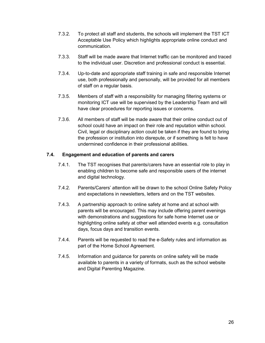- 7.3.2. To protect all staff and students, the schools will implement the TST ICT Acceptable Use Policy which highlights appropriate online conduct and communication.
- 7.3.3. Staff will be made aware that Internet traffic can be monitored and traced to the individual user. Discretion and professional conduct is essential.
- 7.3.4. Up-to-date and appropriate staff training in safe and responsible Internet use, both professionally and personally, will be provided for all members of staff on a regular basis.
- 7.3.5. Members of staff with a responsibility for managing filtering systems or monitoring ICT use will be supervised by the Leadership Team and will have clear procedures for reporting issues or concerns.
- 7.3.6. All members of staff will be made aware that their online conduct out of school could have an impact on their role and reputation within school. Civil, legal or disciplinary action could be taken if they are found to bring the profession or institution into disrepute, or if something is felt to have undermined confidence in their professional abilities.

#### <span id="page-26-0"></span>**7.4. Engagement and education of parents and carers**

- 7.4.1. The TST recognises that parents/carers have an essential role to play in enabling children to become safe and responsible users of the internet and digital technology.
- 7.4.2. Parents/Carers' attention will be drawn to the school Online Safety Policy and expectations in newsletters, letters and on the TST websites.
- 7.4.3. A partnership approach to online safety at home and at school with parents will be encouraged. This may include offering parent evenings with demonstrations and suggestions for safe home Internet use or highlighting online safety at other well attended events e.g. consultation days, focus days and transition events.
- 7.4.4. Parents will be requested to read the e-Safety rules and information as part of the Home School Agreement.
- 7.4.5. Information and guidance for parents on online safety will be made available to parents in a variety of formats, such as the school website and Digital Parenting Magazine.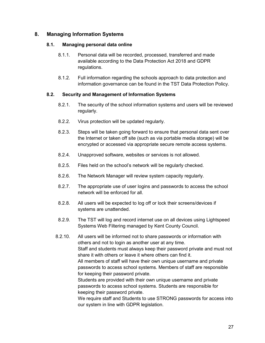#### <span id="page-27-1"></span><span id="page-27-0"></span>**8. Managing Information Systems**

#### **8.1. Managing personal data online**

- 8.1.1. Personal data will be recorded, processed, transferred and made available according to the Data Protection Act 2018 and GDPR regulations.
- 8.1.2. Full information regarding the schools approach to data protection and information governance can be found in the TST Data Protection Policy.

#### <span id="page-27-2"></span>**8.2. Security and Management of Information Systems**

- 8.2.1. The security of the school information systems and users will be reviewed regularly.
- 8.2.2. Virus protection will be updated regularly.
- 8.2.3. Steps will be taken going forward to ensure that personal data sent over the Internet or taken off site (such as via portable media storage) will be encrypted or accessed via appropriate secure remote access systems.
- 8.2.4. Unapproved software, websites or services is not allowed.
- 8.2.5. Files held on the school's network will be regularly checked.
- 8.2.6. The Network Manager will review system capacity regularly.
- 8.2.7. The appropriate use of user logins and passwords to access the school network will be enforced for all.
- 8.2.8. All users will be expected to log off or lock their screens/devices if systems are unattended.
- 8.2.9. The TST will log and record internet use on all devices using Lightspeed Systems Web Filtering managed by Kent County Council.

8.2.10. All users will be informed not to share passwords or information with others and not to login as another user at any time. Staff and students must always keep their password private and must not share it with others or leave it where others can find it. All members of staff will have their own unique username and private passwords to access school systems. Members of staff are responsible for keeping their password private. Students are provided with their own unique username and private passwords to access school systems. Students are responsible for keeping their password private.

We require staff and Students to use STRONG passwords for access into our system in line with GDPR legislation.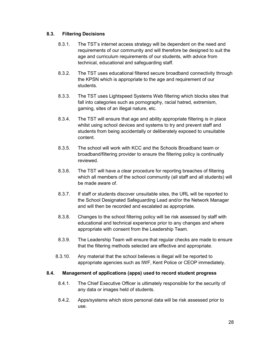#### <span id="page-28-0"></span>**8.3. Filtering Decisions**

- 8.3.1. The TST's internet access strategy will be dependent on the need and requirements of our community and will therefore be designed to suit the age and curriculum requirements of our students, with advice from technical, educational and safeguarding staff.
- 8.3.2. The TST uses educational filtered secure broadband connectivity through the KPSN which is appropriate to the age and requirement of our students.
- 8.3.3. The TST uses Lightspeed Systems Web filtering which blocks sites that fall into categories such as pornography, racial hatred, extremism, gaming, sites of an illegal nature, etc.
- 8.3.4. The TST will ensure that age and ability appropriate filtering is in place whilst using school devices and systems to try and prevent staff and students from being accidentally or deliberately exposed to unsuitable content.
- 8.3.5. The school will work with KCC and the Schools Broadband team or broadband/filtering provider to ensure the filtering policy is continually reviewed.
- 8.3.6. The TST will have a clear procedure for reporting breaches of filtering which all members of the school community (all staff and all students) will be made aware of.
- 8.3.7. If staff or students discover unsuitable sites, the URL will be reported to the School Designated Safeguarding Lead and/or the Network Manager and will then be recorded and escalated as appropriate.
- 8.3.8. Changes to the school filtering policy will be risk assessed by staff with educational and technical experience prior to any changes and where appropriate with consent from the Leadership Team.
- 8.3.9. The Leadership Team will ensure that regular checks are made to ensure that the filtering methods selected are effective and appropriate.
- 8.3.10. Any material that the school believes is illegal will be reported to appropriate agencies such as IWF, Kent Police or CEOP immediately.

#### <span id="page-28-1"></span>**8.4. Management of applications (apps) used to record student progress**

- 8.4.1. The Chief Executive Officer is ultimately responsible for the security of any data or images held of students.
- 8.4.2. Apps/systems which store personal data will be risk assessed prior to use.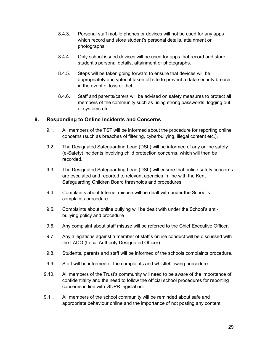- 8.4.3. Personal staff mobile phones or devices will not be used for any apps which record and store student's personal details, attainment or photographs.
- 8.4.4. Only school issued devices will be used for apps that record and store student's personal details, attainment or photographs.
- 8.4.5. Steps will be taken going forward to ensure that devices will be appropriately encrypted if taken off site to prevent a data security breach in the event of loss or theft.
- 8.4.6. Staff and parents/carers will be advised on safety measures to protect all members of the community such as using strong passwords, logging out of systems etc.

#### <span id="page-29-0"></span>**9. Responding to Online Incidents and Concerns**

- 9.1. All members of the TST will be informed about the procedure for reporting online concerns (such as breaches of filtering, cyberbullying, illegal content etc.).
- 9.2. The Designated Safeguarding Lead (DSL) will be informed of any online safety (e-Safety) incidents involving child protection concerns, which will then be recorded.
- 9.3. The Designated Safeguarding Lead (DSL) will ensure that online safety concerns are escalated and reported to relevant agencies in line with the Kent Safeguarding Children Board thresholds and procedures.
- 9.4. Complaints about Internet misuse will be dealt with under the School's complaints procedure.
- 9.5. Complaints about online bullying will be dealt with under the School's antibullying policy and procedure
- 9.6. Any complaint about staff misuse will be referred to the Chief Executive Officer.
- 9.7. Any allegations against a member of staff's online conduct will be discussed with the LADO (Local Authority Designated Officer).
- 9.8. Students, parents and staff will be informed of the schools complaints procedure.
- 9.9. Staff will be informed of the complaints and whistleblowing procedure.
- 9.10. All members of the Trust's community will need to be aware of the importance of confidentiality and the need to follow the official school procedures for reporting concerns in line with GDPR legislation.
- 9.11. All members of the school community will be reminded about safe and appropriate behaviour online and the importance of not posting any content,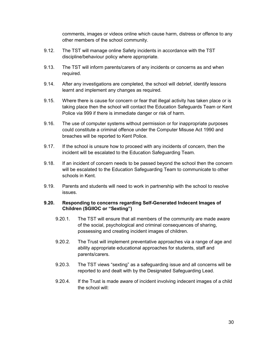comments, images or videos online which cause harm, distress or offence to any other members of the school community.

- 9.12. The TST will manage online Safety incidents in accordance with the TST discipline/behaviour policy where appropriate.
- 9.13. The TST will inform parents/carers of any incidents or concerns as and when required.
- 9.14. After any investigations are completed, the school will debrief, identify lessons learnt and implement any changes as required.
- 9.15. Where there is cause for concern or fear that illegal activity has taken place or is taking place then the school will contact the Education Safeguards Team or Kent Police via 999 if there is immediate danger or risk of harm.
- 9.16. The use of computer systems without permission or for inappropriate purposes could constitute a criminal offence under the Computer Misuse Act 1990 and breaches will be reported to Kent Police.
- 9.17. If the school is unsure how to proceed with any incidents of concern, then the incident will be escalated to the Education Safeguarding Team.
- 9.18. If an incident of concern needs to be passed beyond the school then the concern will be escalated to the Education Safeguarding Team to communicate to other schools in Kent.
- 9.19. Parents and students will need to work in partnership with the school to resolve issues.

#### <span id="page-30-0"></span>**9.20. Responding to concerns regarding Self-Generated Indecent Images of Children (SGIIOC or "Sexting")**

- 9.20.1. The TST will ensure that all members of the community are made aware of the social, psychological and criminal consequences of sharing, possessing and creating incident images of children.
- 9.20.2. The Trust will implement preventative approaches via a range of age and ability appropriate educational approaches for students, staff and parents/carers.
- 9.20.3. The TST views "sexting" as a safeguarding issue and all concerns will be reported to and dealt with by the Designated Safeguarding Lead.
- 9.20.4. If the Trust is made aware of incident involving indecent images of a child the school will: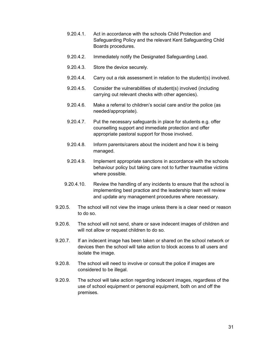- 9.20.4.1. Act in accordance with the schools Child Protection and Safeguarding Policy and the relevant Kent Safeguarding Child Boards procedures.
- 9.20.4.2. Immediately notify the Designated Safeguarding Lead.
- 9.20.4.3. Store the device securely.
- 9.20.4.4. Carry out a risk assessment in relation to the student(s) involved.
- 9.20.4.5. Consider the vulnerabilities of student(s) involved (including carrying out relevant checks with other agencies).
- 9.20.4.6. Make a referral to children's social care and/or the police (as needed/appropriate).
- 9.20.4.7. Put the necessary safeguards in place for students e.g. offer counselling support and immediate protection and offer appropriate pastoral support for those involved.
- 9.20.4.8. Inform parents/carers about the incident and how it is being managed.
- 9.20.4.9. Implement appropriate sanctions in accordance with the schools behaviour policy but taking care not to further traumatise victims where possible.
- 9.20.4.10. Review the handling of any incidents to ensure that the school is implementing best practice and the leadership team will review and update any management procedures where necessary.
- 9.20.5. The school will not view the image unless there is a clear need or reason to do so.
- 9.20.6. The school will not send, share or save indecent images of children and will not allow or request children to do so.
- 9.20.7. If an indecent image has been taken or shared on the school network or devices then the school will take action to block access to all users and isolate the image.
- 9.20.8. The school will need to involve or consult the police if images are considered to be illegal.
- 9.20.9. The school will take action regarding indecent images, regardless of the use of school equipment or personal equipment, both on and off the premises.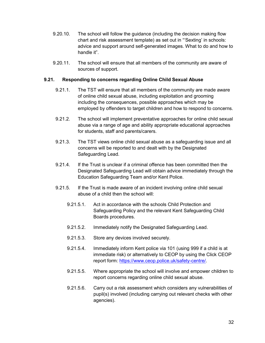- 9.20.10. The school will follow the guidance (including the decision making flow chart and risk assessment template) as set out in "'Sexting' in schools: advice and support around self-generated images. What to do and how to handle it".
- 9.20.11. The school will ensure that all members of the community are aware of sources of support.

#### <span id="page-32-0"></span>**9.21. Responding to concerns regarding Online Child Sexual Abuse**

- 9.21.1. The TST will ensure that all members of the community are made aware of online child sexual abuse, including exploitation and grooming including the consequences, possible approaches which may be employed by offenders to target children and how to respond to concerns.
- 9.21.2. The school will implement preventative approaches for online child sexual abuse via a range of age and ability appropriate educational approaches for students, staff and parents/carers.
- 9.21.3. The TST views online child sexual abuse as a safeguarding issue and all concerns will be reported to and dealt with by the Designated Safeguarding Lead.
- 9.21.4. If the Trust is unclear if a criminal offence has been committed then the Designated Safeguarding Lead will obtain advice immediately through the Education Safeguarding Team and/or Kent Police.
- 9.21.5. If the Trust is made aware of an incident involving online child sexual abuse of a child then the school will:
	- 9.21.5.1. Act in accordance with the schools Child Protection and Safeguarding Policy and the relevant Kent Safeguarding Child Boards procedures.
	- 9.21.5.2. Immediately notify the Designated Safeguarding Lead.
	- 9.21.5.3. Store any devices involved securely.
	- 9.21.5.4. Immediately inform Kent police via 101 (using 999 if a child is at immediate risk) or alternatively to CEOP by using the Click CEOP report form: [https://www.ceop.police.uk/safety-centre/.](https://www.ceop.police.uk/safety-centre/)
	- 9.21.5.5. Where appropriate the school will involve and empower children to report concerns regarding online child sexual abuse.
	- 9.21.5.6. Carry out a risk assessment which considers any vulnerabilities of pupil(s) involved (including carrying out relevant checks with other agencies).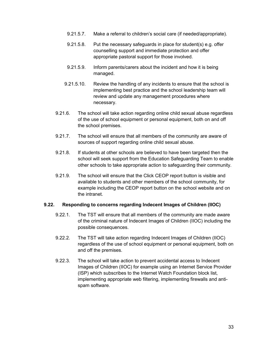- 9.21.5.7. Make a referral to children's social care (if needed/appropriate).
- 9.21.5.8. Put the necessary safeguards in place for student(s) e.g. offer counselling support and immediate protection and offer appropriate pastoral support for those involved.
- 9.21.5.9. Inform parents/carers about the incident and how it is being managed.
- 9.21.5.10. Review the handling of any incidents to ensure that the school is implementing best practice and the school leadership team will review and update any management procedures where necessary.
- 9.21.6. The school will take action regarding online child sexual abuse regardless of the use of school equipment or personal equipment, both on and off the school premises.
- 9.21.7. The school will ensure that all members of the community are aware of sources of support regarding online child sexual abuse.
- 9.21.8. If students at other schools are believed to have been targeted then the school will seek support from the Education Safeguarding Team to enable other schools to take appropriate action to safeguarding their community.
- 9.21.9. The school will ensure that the Click CEOP report button is visible and available to students and other members of the school community, for example including the CEOP report button on the school website and on the intranet.

#### <span id="page-33-0"></span>**9.22. Responding to concerns regarding Indecent Images of Children (IIOC)**

- 9.22.1. The TST will ensure that all members of the community are made aware of the criminal nature of Indecent Images of Children (IIOC) including the possible consequences.
- 9.22.2. The TST will take action regarding Indecent Images of Children (IIOC) regardless of the use of school equipment or personal equipment, both on and off the premises.
- 9.22.3. The school will take action to prevent accidental access to Indecent Images of Children (IIOC) for example using an Internet Service Provider (ISP) which subscribes to the Internet Watch Foundation block list, implementing appropriate web filtering, implementing firewalls and antispam software.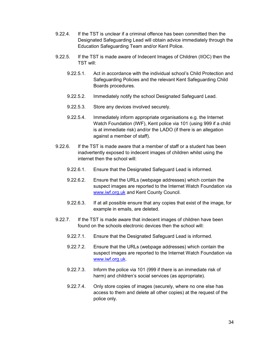- 9.22.4. If the TST is unclear if a criminal offence has been committed then the Designated Safeguarding Lead will obtain advice immediately through the Education Safeguarding Team and/or Kent Police.
- 9.22.5. If the TST is made aware of Indecent Images of Children (IIOC) then the TST will:
	- 9.22.5.1. Act in accordance with the individual school's Child Protection and Safeguarding Policies and the relevant Kent Safeguarding Child Boards procedures.
	- 9.22.5.2. Immediately notify the school Designated Safeguard Lead.
	- 9.22.5.3. Store any devices involved securely.
	- 9.22.5.4. Immediately inform appropriate organisations e.g. the Internet Watch Foundation (IWF), Kent police via 101 (using 999 if a child is at immediate risk) and/or the LADO (if there is an allegation against a member of staff).
- 9.22.6. If the TST is made aware that a member of staff or a student has been inadvertently exposed to indecent images of children whilst using the internet then the school will:
	- 9.22.6.1. Ensure that the Designated Safeguard Lead is informed.
	- 9.22.6.2. Ensure that the URLs (webpage addresses) which contain the suspect images are reported to the Internet Watch Foundation via [www.iwf.org.uk](https://www.iwf.org.uk/) and Kent County Council.
	- 9.22.6.3. If at all possible ensure that any copies that exist of the image, for example in emails, are deleted.
- 9.22.7. If the TST is made aware that indecent images of children have been found on the schools electronic devices then the school will:
	- 9.22.7.1. Ensure that the Designated Safeguard Lead is informed.
	- 9.22.7.2. Ensure that the URLs (webpage addresses) which contain the suspect images are reported to the Internet Watch Foundation via [www.iwf.org.uk.](https://www.iwf.org.uk/)
	- 9.22.7.3. Inform the police via 101 (999 if there is an immediate risk of harm) and children's social services (as appropriate).
	- 9.22.7.4. Only store copies of images (securely, where no one else has access to them and delete all other copies) at the request of the police only.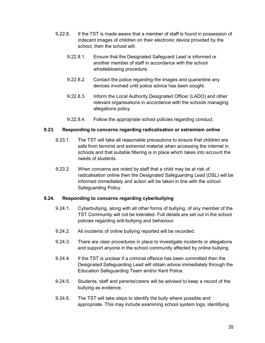- 9.22.8. If the TST is made aware that a member of staff is found in possession of indecent images of children on their electronic device provided by the school, then the school will:
	- 9.22.8.1. Ensure that the Designated Safeguard Lead is informed or another member of staff in accordance with the school whistleblowing procedure.
	- 9.22.8.2. Contact the police regarding the images and quarantine any devices involved until police advice has been sought.
	- 9.22.8.3. Inform the Local Authority Designated Officer (LADO) and other relevant organisations in accordance with the schools managing allegations policy.
	- 9.22.8.4. Follow the appropriate school policies regarding conduct.

#### <span id="page-35-0"></span>**9.23. Responding to concerns regarding radicalisation or extremism online**

- 9.23.1. The TST will take all reasonable precautions to ensure that children are safe from terrorist and extremist material when accessing the internet in schools and that suitable filtering is in place which takes into account the needs of students.
- 9.23.2. When concerns are noted by staff that a child may be at risk of radicalisation online then the Designated Safeguarding Lead (DSL) will be informed immediately and action will be taken in line with the school Safeguarding Policy.

#### <span id="page-35-1"></span>**9.24. Responding to concerns regarding cyberbullying**

- 9.24.1. Cyberbullying, along with all other forms of bullying, of any member of the TST Community will not be tolerated. Full details are set out in the school policies regarding anti-bullying and behaviour.
- 9.24.2. All incidents of online bullying reported will be recorded.
- 9.24.3. There are clear procedures in place to investigate incidents or allegations and support anyone in the school community affected by online bullying.
- 9.24.4. If the TST is unclear if a criminal offence has been committed then the Designated Safeguarding Lead will obtain advice immediately through the Education Safeguarding Team and/or Kent Police.
- 9.24.5. Students, staff and parents/carers will be advised to keep a record of the bullying as evidence.
- 9.24.6. The TST will take steps to identify the bully where possible and appropriate. This may include examining school system logs, identifying